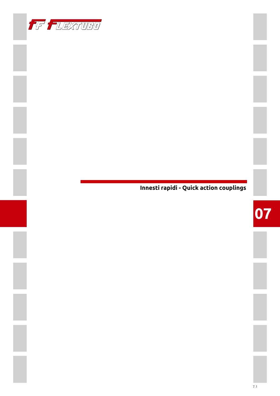

## Innesti rapidi - Quick action couplings

# 07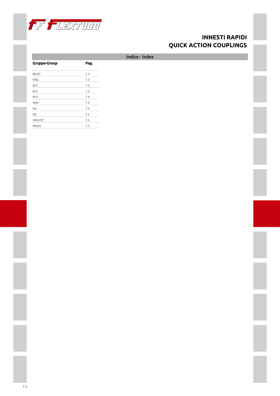

<span id="page-1-1"></span><span id="page-1-0"></span>

|                     |      | Indice - Index |  |
|---------------------|------|----------------|--|
| <b>Gruppo-Group</b> | Pag. |                |  |
| <b>IRLOT</b>        | 7.3  |                |  |
| <b>FIRG</b>         | 7.3  |                |  |
| IR-C                | 7.3  |                |  |
| $IR-S$              | 7.4  |                |  |
| $IR-V$              | 7.4  |                |  |
| <b>HNV</b>          | 7.4  |                |  |
| <b>NV</b>           | 7.4  |                |  |
| <b>NS</b>           | 7.5  |                |  |
| HNV/OT              | 7.5  |                |  |
| IRV/W               | 7.5  |                |  |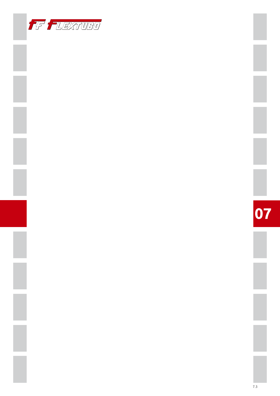

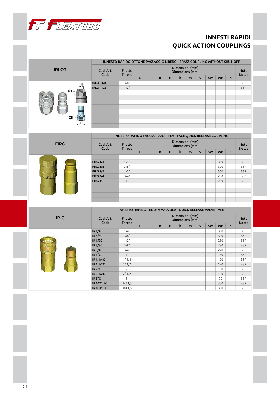

|                 |                   | INNESTO RAPIDO OTTONE PASSAGGIO LIBERO - BRASS COUPLING WITHOUT SHUT-OFF |   |   |   |   |                                    |              |           |           |   |                             |
|-----------------|-------------------|--------------------------------------------------------------------------|---|---|---|---|------------------------------------|--------------|-----------|-----------|---|-----------------------------|
| <b>IRLOT</b>    | Cod. Art.<br>Code | Filetto<br>Thread                                                        |   |   |   |   | Dimensioni (mm)<br>Dimensions (mm) |              |           |           |   | <b>Note</b><br><b>Notes</b> |
|                 |                   |                                                                          | ┗ | B | н | h | m                                  | $\mathsf{V}$ | <b>SW</b> | <b>WP</b> | K |                             |
| F1              | IRLOT 3/8         | 3/8"                                                                     |   |   |   |   |                                    |              |           |           |   | <b>BSP</b>                  |
|                 | <b>IRLOT 1/2</b>  | $1/2$ "                                                                  |   |   |   |   |                                    |              |           |           |   | <b>BSP</b>                  |
| CH <sub>2</sub> |                   |                                                                          |   |   |   |   |                                    |              |           |           |   |                             |
|                 |                   |                                                                          |   |   |   |   |                                    |              |           |           |   |                             |
|                 |                   |                                                                          |   |   |   |   |                                    |              |           |           |   |                             |
|                 |                   |                                                                          |   |   |   |   |                                    |              |           |           |   |                             |
|                 |                   |                                                                          |   |   |   |   |                                    |              |           |           |   |                             |
| CH 1-           |                   |                                                                          |   |   |   |   |                                    |              |           |           |   |                             |
| $-F1$           |                   |                                                                          |   |   |   |   |                                    |              |           |           |   |                             |
|                 |                   |                                                                          |   |   |   |   |                                    |              |           |           |   |                             |

|                          |                   | <b>INNESTO RAPIDO FACCIA PIANA - FLAT FACE QUICK RELEASE COUPLING</b> |   |   |   |   |                                    |              |           |           |   |                             |
|--------------------------|-------------------|-----------------------------------------------------------------------|---|---|---|---|------------------------------------|--------------|-----------|-----------|---|-----------------------------|
| <b>FIRG</b>              | Cod. Art.<br>Code | <b>Filetto</b><br><b>Thread</b>                                       |   |   |   |   | Dimensioni (mm)<br>Dimensions (mm) |              |           |           |   | <b>Note</b><br><b>Notes</b> |
|                          |                   |                                                                       | L | B | H | h | m                                  | $\mathsf{V}$ | <b>SW</b> | <b>WP</b> | K |                             |
|                          |                   |                                                                       |   |   |   |   |                                    |              |           |           |   |                             |
|                          | <b>FIRG 1/4</b>   | 1/4"                                                                  |   |   |   |   |                                    |              |           | 300       |   | <b>BSP</b>                  |
|                          | <b>FIRG 3/8</b>   | 3/8"                                                                  |   |   |   |   |                                    |              |           | 300       |   | <b>BSP</b>                  |
|                          | <b>FIRG 1/2</b>   | $1/2$ "                                                               |   |   |   |   |                                    |              |           | 300       |   | <b>BSP</b>                  |
| $\overline{\phantom{a}}$ | <b>FIRG 3/4</b>   | 3/4"                                                                  |   |   |   |   |                                    |              |           | 250       |   | <b>BSP</b>                  |
|                          | FIRG 1"           | 1"                                                                    |   |   |   |   |                                    |              |           | 250       |   | <b>BSP</b>                  |
|                          |                   |                                                                       |   |   |   |   |                                    |              |           |           |   |                             |
|                          |                   |                                                                       |   |   |   |   |                                    |              |           |           |   |                             |
|                          |                   |                                                                       |   |   |   |   |                                    |              |           |           |   |                             |
|                          |                   |                                                                       |   |   |   |   |                                    |              |           |           |   |                             |
|                          |                   |                                                                       |   |   |   |   |                                    |              |           |           |   |                             |

|               |                   | INNESTO RAPIDO TENUTA VALVOLA - QUICK RELEASE VALVE TYPE |    |   |   |   |                                    |              |           |           |   |                             |
|---------------|-------------------|----------------------------------------------------------|----|---|---|---|------------------------------------|--------------|-----------|-----------|---|-----------------------------|
| $IR-C$        | Cod. Art.<br>Code | <b>Filetto</b><br><b>Thread</b>                          |    |   |   |   | Dimensioni (mm)<br>Dimensions (mm) |              |           |           |   | <b>Note</b><br><b>Notes</b> |
|               |                   |                                                          | L. | B | H | h | m                                  | $\mathsf{V}$ | <b>SW</b> | <b>WP</b> | K |                             |
|               | <b>IR 1/4C</b>    | 1/4"                                                     |    |   |   |   |                                    |              |           | 350       |   | <b>BSP</b>                  |
|               | <b>IR 3/8C</b>    | 3/8"                                                     |    |   |   |   |                                    |              |           | 300       |   | <b>BSP</b>                  |
|               | <b>IR 1/2C</b>    | $1/2$ "                                                  |    |   |   |   |                                    |              |           | 280       |   | <b>BSP</b>                  |
|               | <b>IR 5/8C</b>    | 5/8"                                                     |    |   |   |   |                                    |              |           | 280       |   | <b>BSP</b>                  |
| <b>THEFT!</b> | <b>IR 3/4C</b>    | 3/4"                                                     |    |   |   |   |                                    |              |           | 220       |   | <b>BSP</b>                  |
|               | <b>IR1"C</b>      | 1"                                                       |    |   |   |   |                                    |              |           | 180       |   | <b>BSP</b>                  |
|               | IR 1.1/4C         | 1" 1/4                                                   |    |   |   |   |                                    |              |           | 120       |   | <b>BSP</b>                  |
|               | IR 1.1/2C         | 1" 1/2                                                   |    |   |   |   |                                    |              |           | 120       |   | <b>BSP</b>                  |
|               | <b>IR 2"C</b>     | 2"                                                       |    |   |   |   |                                    |              |           | 100       |   | <b>BSP</b>                  |
|               | IR 2.1/2C         | 2" 1/2                                                   |    |   |   |   |                                    |              |           | 100       |   | <b>BSP</b>                  |
|               | <b>IR 3"C</b>     | 3"                                                       |    |   |   |   |                                    |              |           | 70        |   | <b>BSP</b>                  |
|               | <b>IR 14X1,5C</b> | 14X1,5                                                   |    |   |   |   |                                    |              |           | 350       |   | <b>BSP</b>                  |
|               | <b>IR 18X1,5C</b> | 18X1,5                                                   |    |   |   |   |                                    |              |           | 300       |   | <b>BSP</b>                  |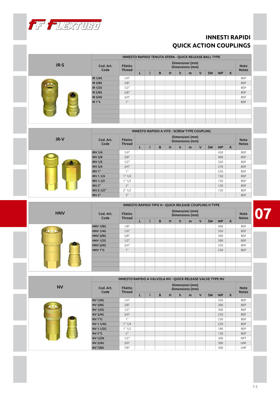

|            |                    | INNESTO RAPIDO TENUTA SFERA - QUICK RELEASE BALL TYPE |                                    |  |   |   |   |                                             |              |    |           |                             |                             |
|------------|--------------------|-------------------------------------------------------|------------------------------------|--|---|---|---|---------------------------------------------|--------------|----|-----------|-----------------------------|-----------------------------|
| IR-S       | Cod. Art.<br>Code  | <b>Filetto</b><br><b>Thread</b>                       |                                    |  |   |   |   | Dimensioni (mm)<br>Dimensions (mm)          |              |    |           |                             | <b>Note</b><br><b>Notes</b> |
|            |                    |                                                       | L                                  |  | B | H | h | $\mathsf{m}$                                | $\mathsf{V}$ | SW | <b>WP</b> | $\mathsf{K}$                |                             |
|            | <b>IR 1/4S</b>     | 1/4"                                                  |                                    |  |   |   |   |                                             |              |    |           |                             | <b>BSP</b>                  |
|            | IR 3/8S            | 3/8"                                                  |                                    |  |   |   |   |                                             |              |    |           |                             | <b>BSP</b>                  |
|            | IR 1/2S            | 1/2"                                                  |                                    |  |   |   |   |                                             |              |    |           |                             | <b>BSP</b>                  |
|            | IR 5/8S            | 5/8"                                                  |                                    |  |   |   |   |                                             |              |    |           |                             | <b>BSP</b>                  |
|            | IR 3/4S            | 3/4"                                                  |                                    |  |   |   |   |                                             |              |    |           |                             | <b>BSP</b>                  |
|            | <b>IR 1"S</b>      | 1"                                                    |                                    |  |   |   |   |                                             |              |    |           |                             | <b>BSP</b>                  |
|            |                    |                                                       |                                    |  |   |   |   |                                             |              |    |           |                             |                             |
|            |                    |                                                       |                                    |  |   |   |   |                                             |              |    |           |                             |                             |
|            |                    |                                                       |                                    |  |   |   |   |                                             |              |    |           |                             |                             |
|            |                    |                                                       |                                    |  |   |   |   | INNESTO RAPIDO A VITE - SCREW TYPE COUPLING |              |    |           |                             |                             |
|            |                    |                                                       |                                    |  |   |   |   |                                             |              |    |           |                             |                             |
| IR-V       | Cod. Art.<br>Code  | <b>Filetto</b><br><b>Thread</b>                       | Dimensioni (mm)<br>Dimensions (mm) |  |   |   |   |                                             |              |    |           | <b>Note</b><br><b>Notes</b> |                             |
|            |                    |                                                       | L                                  |  | B | H | h | $\mathsf{m}$                                | $\mathsf{V}$ | SW | <b>WP</b> | $\mathsf{K}$                |                             |
|            | <b>IRV 1/4</b>     | 1/4"                                                  |                                    |  |   |   |   |                                             |              |    | 450       |                             | <b>BSP</b>                  |
|            | <b>IRV 3/8</b>     | 3/8"                                                  |                                    |  |   |   |   |                                             |              |    | 400       |                             | <b>BSP</b>                  |
|            | <b>IRV 1/2</b>     | $1/2$ "                                               |                                    |  |   |   |   |                                             |              |    | 320       |                             | <b>BSP</b>                  |
|            |                    |                                                       |                                    |  |   |   |   |                                             |              |    |           |                             |                             |
|            | <b>IRV 3/4</b>     | 3/4"                                                  |                                    |  |   |   |   |                                             |              |    | 270       |                             | <b>BSP</b>                  |
|            | IRV 1"             | 1"                                                    |                                    |  |   |   |   |                                             |              |    | 220       |                             | <b>BSP</b>                  |
|            | <b>IRV 1.1/4</b>   | 1" 1/4                                                |                                    |  |   |   |   |                                             |              |    | 150       |                             | <b>BSP</b>                  |
|            | <b>IRV 1.1/2</b>   | 1" 1/2                                                |                                    |  |   |   |   |                                             |              |    | 150       |                             | <b>BSP</b>                  |
|            | IRV <sub>2"</sub>  | 2"                                                    |                                    |  |   |   |   |                                             |              |    | 120       |                             | <b>BSP</b>                  |
|            | IRV 2.1/2"         | 2" 1/2                                                |                                    |  |   |   |   |                                             |              |    | 120       |                             | <b>BSP</b>                  |
|            | IRV <sub>3</sub> " | 3"                                                    |                                    |  |   |   |   |                                             |              |    |           |                             | <b>BSP</b>                  |
|            |                    |                                                       |                                    |  |   |   |   |                                             |              |    |           |                             |                             |
|            |                    | INNESTO RAPIDO TIPO H - QUICK RELEASE COUPLING H TYPE |                                    |  |   |   |   |                                             |              |    |           |                             |                             |
| <b>HNV</b> | Cod. Art.<br>Code  | <b>Filetto</b><br><b>Thread</b>                       |                                    |  |   |   |   | Dimensioni (mm)<br>Dimensions (mm)          |              |    |           |                             | <b>Note</b><br><b>Notes</b> |

|            |                   | INNESTO RAPIDO TIPO H - QUICK RELEASE COUPLING H TYPE |   |   |   |   |                                    |              |           |           |                             |            |
|------------|-------------------|-------------------------------------------------------|---|---|---|---|------------------------------------|--------------|-----------|-----------|-----------------------------|------------|
| <b>HNV</b> | Cod. Art.<br>Code | <b>Filetto</b><br><b>Thread</b>                       |   |   |   |   | Dimensioni (mm)<br>Dimensions (mm) |              |           |           | <b>Note</b><br><b>Notes</b> |            |
|            |                   |                                                       | L | B | н | h | m                                  | $\mathsf{V}$ | <b>SW</b> | <b>WP</b> | K                           |            |
|            | <b>HNV 1/8G</b>   | 1/8"                                                  |   |   |   |   |                                    |              |           | 400       |                             | <b>BSP</b> |
|            | <b>HNV 1/4G</b>   | 1/4"                                                  |   |   |   |   |                                    |              |           | 350       |                             | <b>BSP</b> |
|            | <b>HNV 3/8G</b>   | 3/8"                                                  |   |   |   |   |                                    |              |           | 300       |                             | <b>BSP</b> |
|            | <b>HNV 1/2G</b>   | 1/2"                                                  |   |   |   |   |                                    |              |           | 300       |                             | <b>BSP</b> |
|            | <b>HNV 3/4G</b>   | 3/4"                                                  |   |   |   |   |                                    |              |           | 250       |                             | <b>BSP</b> |
|            | HNV 1"G           | 1 <sup>11</sup>                                       |   |   |   |   |                                    |              |           | 230       |                             | <b>BSP</b> |
|            |                   |                                                       |   |   |   |   |                                    |              |           |           |                             |            |
|            |                   |                                                       |   |   |   |   |                                    |              |           |           |                             |            |
|            |                   |                                                       |   |   |   |   |                                    |              |           |           |                             |            |
|            |                   |                                                       |   |   |   |   |                                    |              |           |           |                             |            |

|           |                   | INNESTO RAPIDO A VALVOLA NV - QUICK RELEASE VALVE TYPE NV |   |   |   |                                    |   |              |           |           |   |                             |
|-----------|-------------------|-----------------------------------------------------------|---|---|---|------------------------------------|---|--------------|-----------|-----------|---|-----------------------------|
| <b>NV</b> | Cod. Art.<br>Code | <b>Filetto</b><br><b>Thread</b>                           |   |   |   | Dimensioni (mm)<br>Dimensions (mm) |   |              |           |           |   | <b>Note</b><br><b>Notes</b> |
|           |                   |                                                           | L | B | H | h                                  | m | $\mathsf{V}$ | <b>SW</b> | <b>WP</b> | K |                             |
|           | <b>NV 1/4G</b>    | 1/4"                                                      |   |   |   |                                    |   |              |           | 350       |   | <b>BSP</b>                  |
|           | <b>NV 3/8G</b>    | 3/8"                                                      |   |   |   |                                    |   |              |           | 300       |   | <b>BSP</b>                  |
|           | <b>NV 1/2G</b>    | 1/2"                                                      |   |   |   |                                    |   |              |           | 300       |   | <b>BSP</b>                  |
|           | <b>NV 3/4G</b>    | 3/4"                                                      |   |   |   |                                    |   |              |           | 250       |   | <b>BSP</b>                  |
|           | <b>NV1"G</b>      | 1"                                                        |   |   |   |                                    |   |              |           | 230       |   | <b>BSP</b>                  |
|           | <b>NV 1.1/4G</b>  | 1" 1/4                                                    |   |   |   |                                    |   |              |           | 220       |   | <b>BSP</b>                  |
|           | <b>NV 1.1/2G</b>  | 1" 1/2                                                    |   |   |   |                                    |   |              |           | 180       |   | <b>BSP</b>                  |
|           | <b>NV 2"G</b>     | 2"                                                        |   |   |   |                                    |   |              |           | 130       |   | <b>BSP</b>                  |
|           | <b>NV 1/2N</b>    | 1/2"                                                      |   |   |   |                                    |   |              |           | 300       |   | <b>NPT</b>                  |
|           | <b>NV 3/4U</b>    | 3/4"                                                      |   |   |   |                                    |   |              |           | 300       |   | <b>UNF</b>                  |
|           | <b>NV 7/8U</b>    | 7/8"                                                      |   |   |   |                                    |   |              |           | 300       |   | <b>UNF</b>                  |